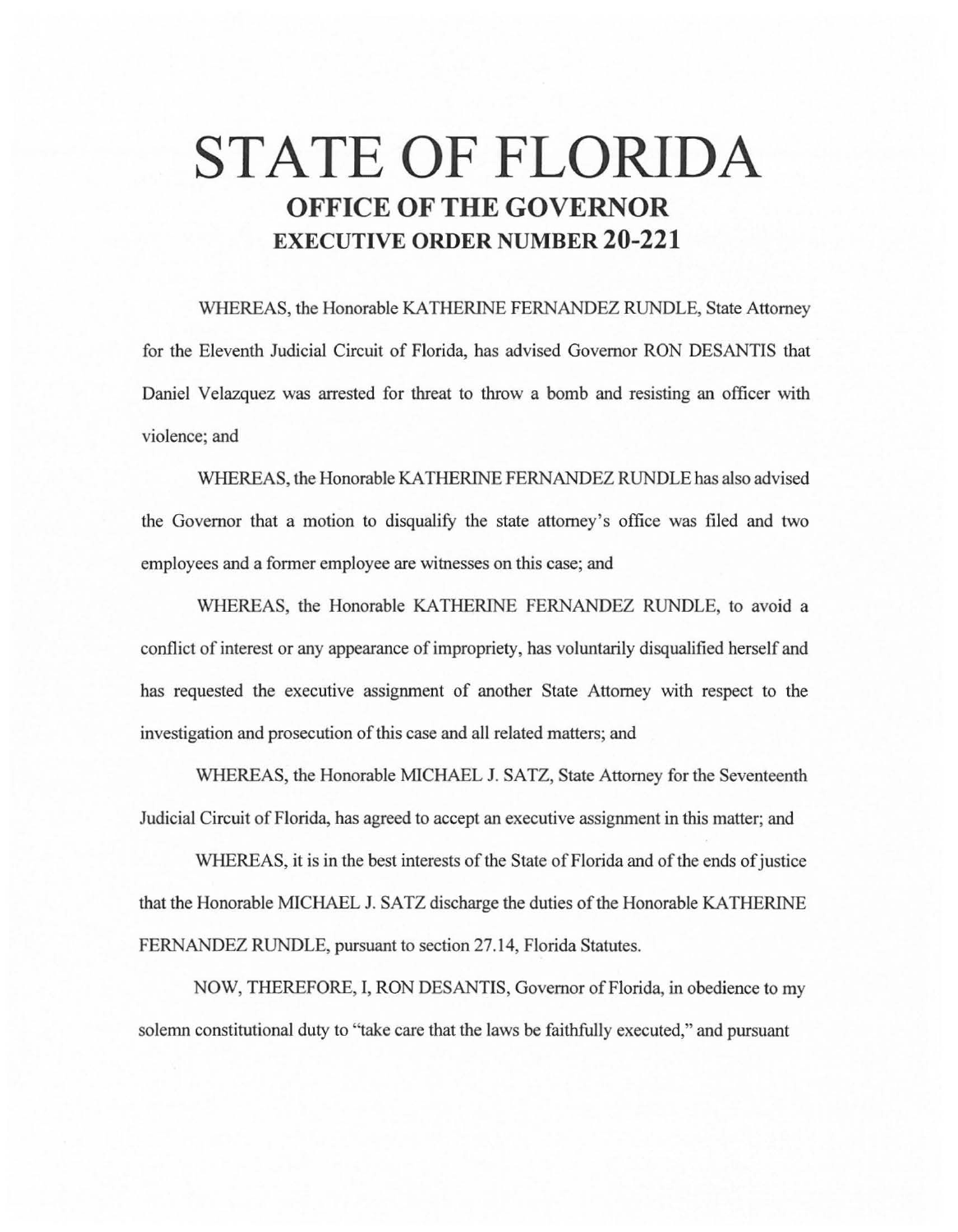# **STATE OF FLORIDA OFFICE OF THE GOVERNOR EXECUTIVE ORDER NUMBER 20-221**

WHEREAS, the Honorable KATHERINE FERNANDEZ RUNDLE, State Attorney for the Eleventh Judicial Circuit of Florida, has advised Governor RON DESANTIS that Daniel Velazquez was arrested for threat to throw a bomb and resisting an officer with violence; and

WHEREAS, the Honorable KA THERINE FERNANDEZ RUNDLE has also advised the Governor that a motion to disqualify the state attorney's office was filed and two employees and a former employee are witnesses on this case; and

WHEREAS, the Honorable KATHERINE FERNANDEZ RUNDLE, to avoid a conflict of interest or any appearance of impropriety, has voluntarily disqualified herself and has requested the executive assignment of another State Attorney with respect to the investigation and prosecution of this case and all related matters; and

WHEREAS, the Honorable MICHAEL J. SATZ, State Attorney for the Seventeenth Judicial Circuit of Florida, has agreed to accept an executive assignment in this matter; and

WHEREAS, it is in the best interests of the State of Florida and of the ends of justice that the Honorable MICHAEL J. SATZ discharge the duties of the Honorable KATHERINE FERNANDEZ RUNDLE, pursuant to section 27.14, Florida Statutes.

NOW, THEREFORE, I, RON DESANTIS, Governor of Florida, in obedience to my solemn constitutional duty to "take care that the laws be faithfully executed," and pursuant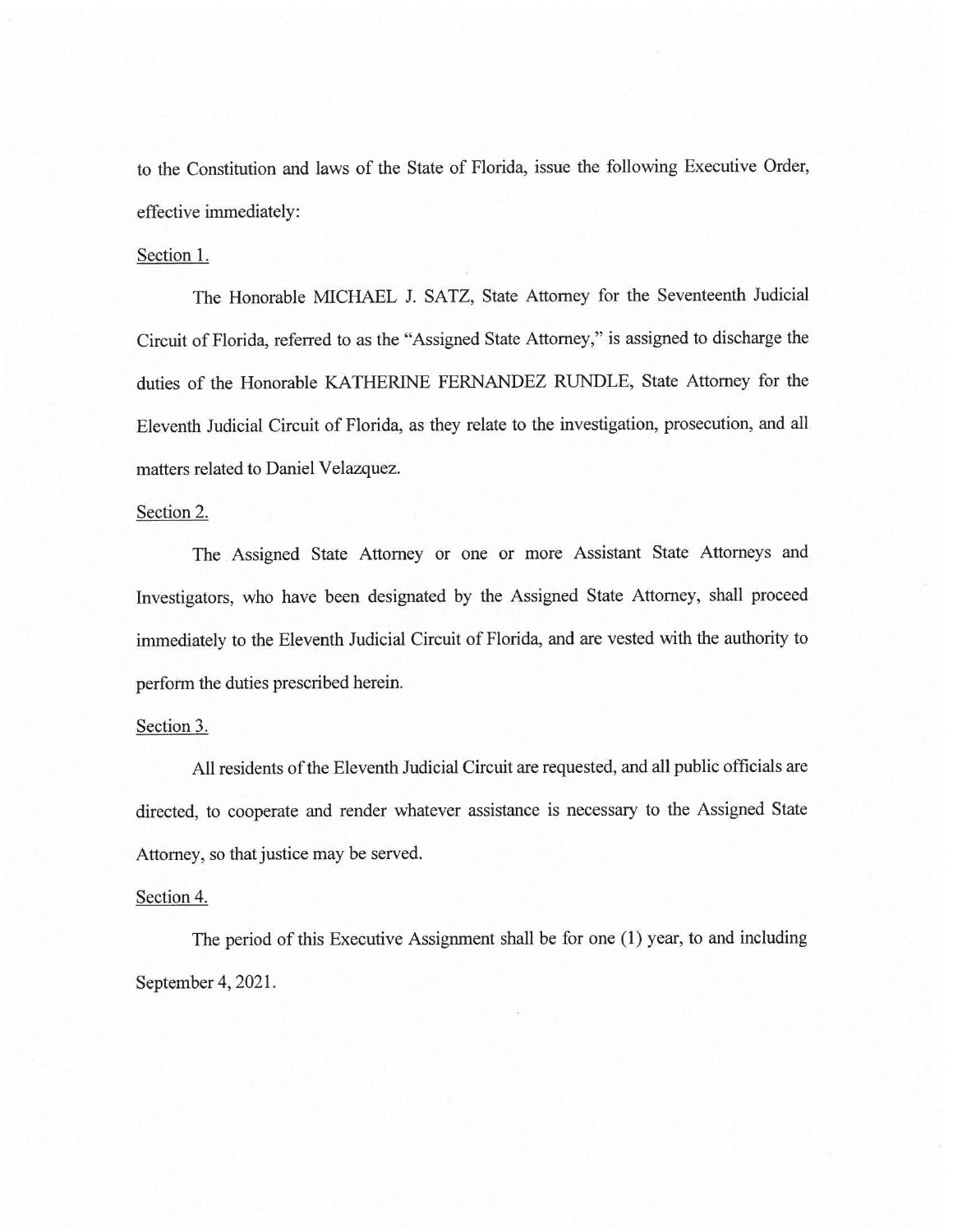to the Constitution and laws of the State of Florida, issue the following Executive Order, effective immediately:

#### Section 1.

The Honorable MICHAEL J. SATZ, State Attorney for the Seventeenth Judicial Circuit of Florida, referred to as the "Assigned State Attorney," is assigned to discharge the duties of the Honorable KATHERINE FERNANDEZ RUNDLE, State Attorney for the Eleventh Judicial Circuit of Florida, as they relate to the investigation, prosecution, and all matters related to Daniel Velazquez.

## Section 2.

The Assigned State Attorney or one or more Assistant State Attorneys and Investigators, who have been designated by the Assigned State Attorney, shall proceed immediately to the Eleventh Judicial Circuit of Florida, and are vested with the authority to perform the duties prescribed herein.

### Section 3.

All residents of the Eleventh Judicial Circuit are requested, and all public officials are directed, to cooperate and render whatever assistance is necessary to the Assigned State Attorney, so that justice may be served.

#### Section 4.

The period of this Executive Assignment shall be for one (1) year, to and including September 4, 2021.